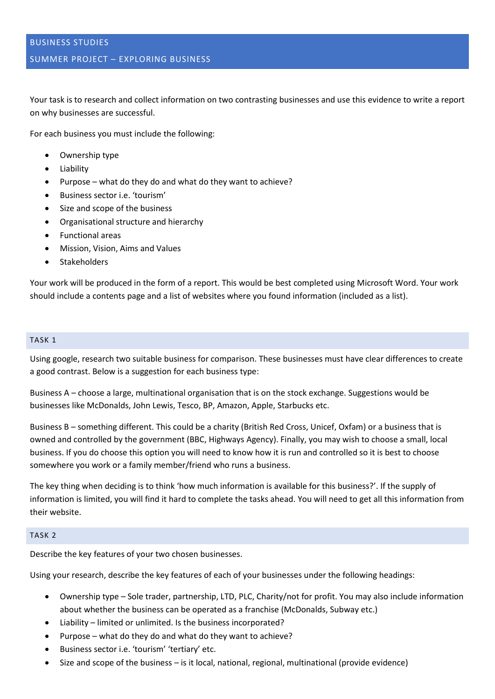Your task is to research and collect information on two contrasting businesses and use this evidence to write a report on why businesses are successful.

For each business you must include the following:

- Ownership type
- Liability
- Purpose what do they do and what do they want to achieve?
- Business sector i.e. 'tourism'
- Size and scope of the business
- Organisational structure and hierarchy
- Functional areas
- Mission, Vision, Aims and Values
- Stakeholders

Your work will be produced in the form of a report. This would be best completed using Microsoft Word. Your work should include a contents page and a list of websites where you found information (included as a list).

### TASK 1

Using google, research two suitable business for comparison. These businesses must have clear differences to create a good contrast. Below is a suggestion for each business type:

Business A – choose a large, multinational organisation that is on the stock exchange. Suggestions would be businesses like McDonalds, John Lewis, Tesco, BP, Amazon, Apple, Starbucks etc.

Business B – something different. This could be a charity (British Red Cross, Unicef, Oxfam) or a business that is owned and controlled by the government (BBC, Highways Agency). Finally, you may wish to choose a small, local business. If you do choose this option you will need to know how it is run and controlled so it is best to choose somewhere you work or a family member/friend who runs a business.

The key thing when deciding is to think 'how much information is available for this business?'. If the supply of information is limited, you will find it hard to complete the tasks ahead. You will need to get all this information from their website.

#### TASK 2

Describe the key features of your two chosen businesses.

Using your research, describe the key features of each of your businesses under the following headings:

- Ownership type Sole trader, partnership, LTD, PLC, Charity/not for profit. You may also include information about whether the business can be operated as a franchise (McDonalds, Subway etc.)
- Liability limited or unlimited. Is the business incorporated?
- Purpose what do they do and what do they want to achieve?
- Business sector i.e. 'tourism' 'tertiary' etc.
- Size and scope of the business is it local, national, regional, multinational (provide evidence)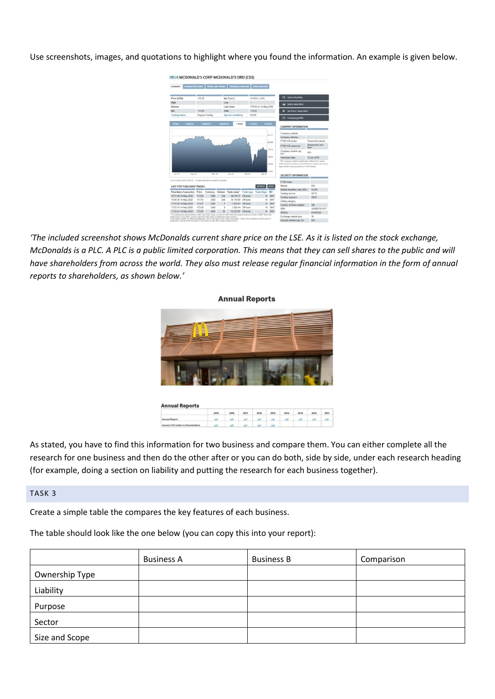Use screenshots, images, and quotations to highlight where you found the information. An example is given below.



*'The included screenshot shows McDonalds current share price on the LSE. As it is listed on the stock exchange, McDonalds is a PLC. A PLC is a public limited corporation. This means that they can sell shares to the public and will have shareholders from across the world. They also must release regular financial information in the form of annual reports to shareholders, as shown below.'*

#### **Annual Reports**



As stated, you have to find this information for two business and compare them. You can either complete all the research for one business and then do the other after or you can do both, side by side, under each research heading (for example, doing a section on liability and putting the research for each business together).

### TASK 3

Create a simple table the compares the key features of each business.

The table should look like the one below (you can copy this into your report):

|                | <b>Business A</b> | <b>Business B</b> | Comparison |
|----------------|-------------------|-------------------|------------|
| Ownership Type |                   |                   |            |
| Liability      |                   |                   |            |
| Purpose        |                   |                   |            |
| Sector         |                   |                   |            |
| Size and Scope |                   |                   |            |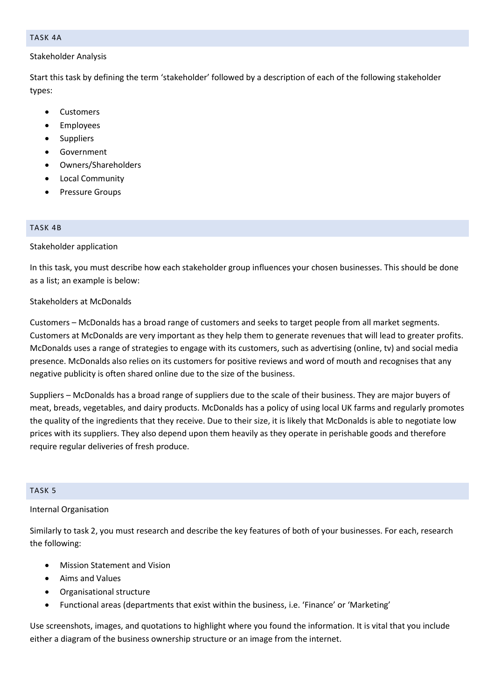#### TASK 4A

# Stakeholder Analysis

Start this task by defining the term 'stakeholder' followed by a description of each of the following stakeholder types:

- Customers
- **Employees**
- **Suppliers**
- Government
- Owners/Shareholders
- Local Community
- Pressure Groups

# TASK 4B

# Stakeholder application

In this task, you must describe how each stakeholder group influences your chosen businesses. This should be done as a list; an example is below:

# Stakeholders at McDonalds

Customers – McDonalds has a broad range of customers and seeks to target people from all market segments. Customers at McDonalds are very important as they help them to generate revenues that will lead to greater profits. McDonalds uses a range of strategies to engage with its customers, such as advertising (online, tv) and social media presence. McDonalds also relies on its customers for positive reviews and word of mouth and recognises that any negative publicity is often shared online due to the size of the business.

Suppliers – McDonalds has a broad range of suppliers due to the scale of their business. They are major buyers of meat, breads, vegetables, and dairy products. McDonalds has a policy of using local UK farms and regularly promotes the quality of the ingredients that they receive. Due to their size, it is likely that McDonalds is able to negotiate low prices with its suppliers. They also depend upon them heavily as they operate in perishable goods and therefore require regular deliveries of fresh produce.

# TASK 5

# Internal Organisation

Similarly to task 2, you must research and describe the key features of both of your businesses. For each, research the following:

- Mission Statement and Vision
- Aims and Values
- Organisational structure
- Functional areas (departments that exist within the business, i.e. 'Finance' or 'Marketing'

Use screenshots, images, and quotations to highlight where you found the information. It is vital that you include either a diagram of the business ownership structure or an image from the internet.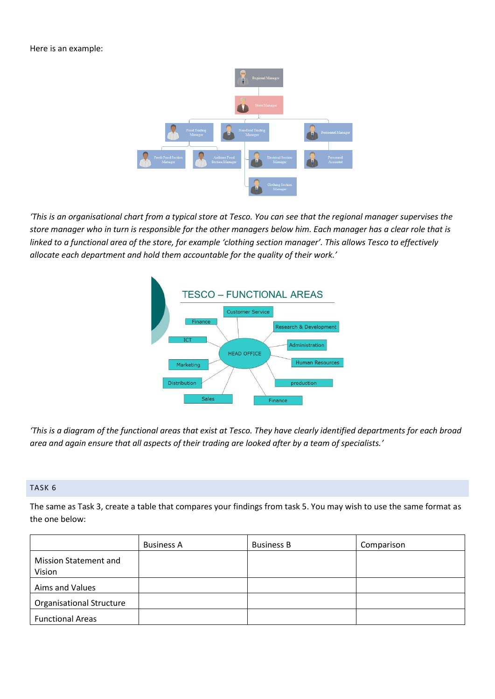Here is an example:



*'This is an organisational chart from a typical store at Tesco. You can see that the regional manager supervises the store manager who in turn is responsible for the other managers below him. Each manager has a clear role that is linked to a functional area of the store, for example 'clothing section manager'. This allows Tesco to effectively allocate each department and hold them accountable for the quality of their work.'*



*'This is a diagram of the functional areas that exist at Tesco. They have clearly identified departments for each broad area and again ensure that all aspects of their trading are looked after by a team of specialists.'*

# TASK 6

The same as Task 3, create a table that compares your findings from task 5. You may wish to use the same format as the one below:

|                                 | <b>Business A</b> | <b>Business B</b> | Comparison |
|---------------------------------|-------------------|-------------------|------------|
| Mission Statement and<br>Vision |                   |                   |            |
| Aims and Values                 |                   |                   |            |
| <b>Organisational Structure</b> |                   |                   |            |
| <b>Functional Areas</b>         |                   |                   |            |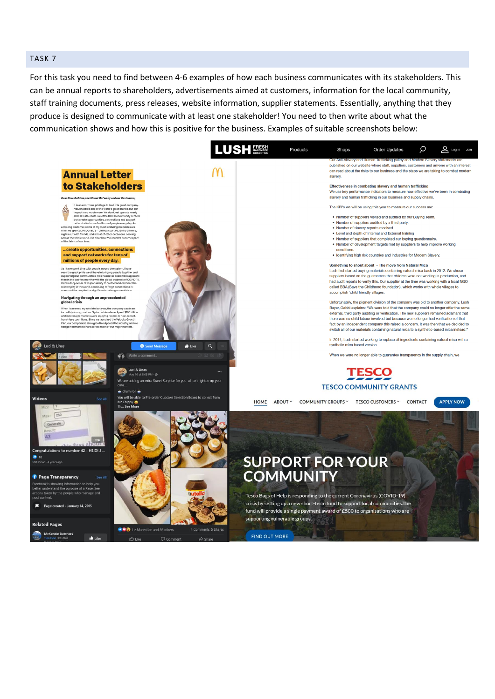### TASK 7

For this task you need to find between 4-6 examples of how each business communicates with its stakeholders. This can be annual reports to shareholders, advertisements aimed at customers, information for the local community, staff training documents, press releases, website information, supplier statements. Essentially, anything that they produce is designed to communicate with at least one stakeholder! You need to then write about what the communication shows and how this is positive for the business. Examples of suitable screenshots below: